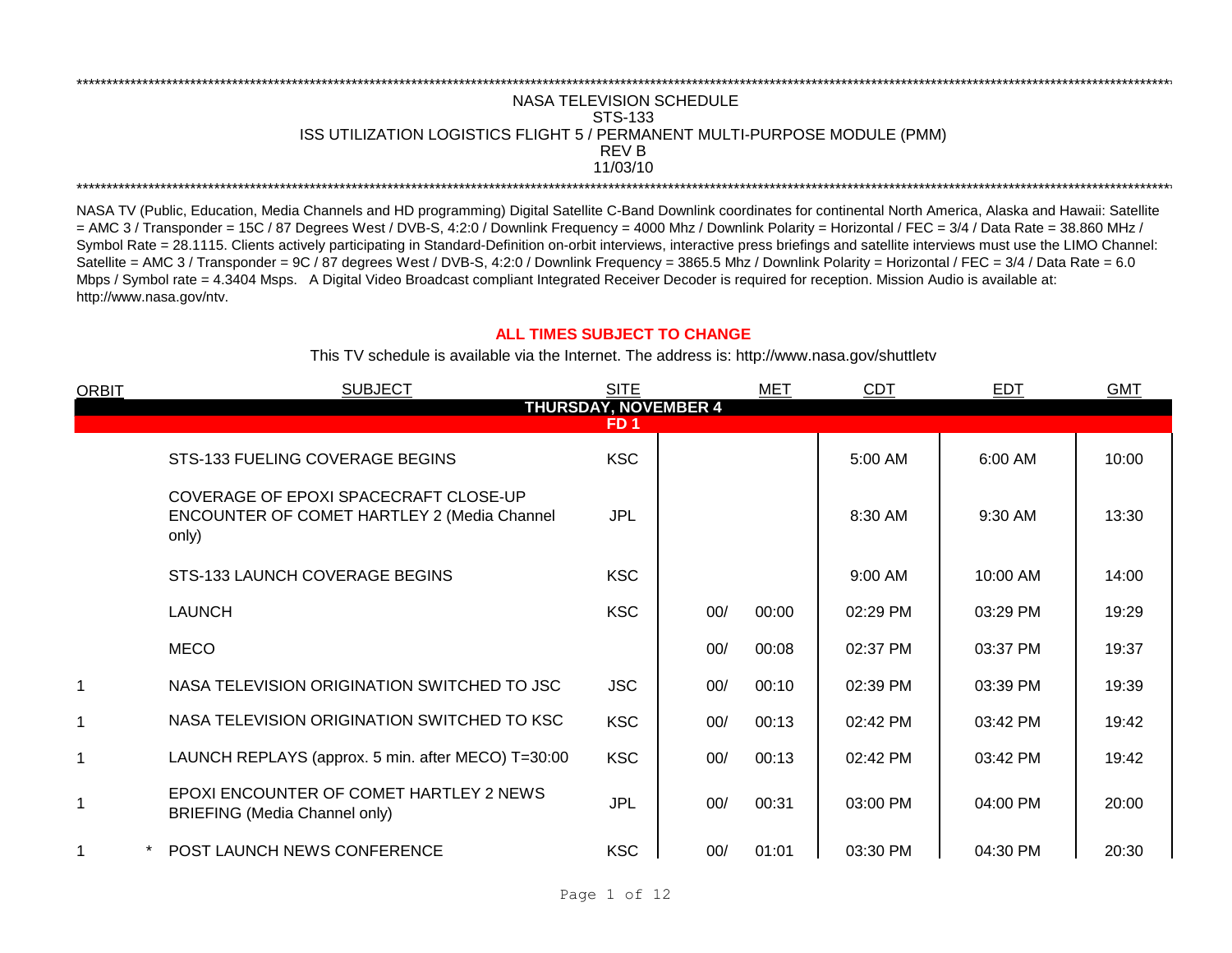## REV B \*\*\*\*\*\*\*\*\*\*\*\*\*\*\*\*\*\*\*\*\*\*\*\*\*\*\*\*\*\*\*\*\*\*\*\*\*\*\*\*\*\*\*\*\*\*\*\*\*\*\*\*\*\*\*\*\*\*\*\*\*\*\*\*\*\*\*\*\*\*\*\*\*\*\*\*\*\*\*\*\*\*\*\*\*\*\*\*\*\*\*\*\*\*\*\*\*\*\*\*\*\*\*\*\*\*\*\*\*\*\*\*\*\*\*\*\*\*\*\*\*\*\*\*\*\*\*\*\*\*\*\*\*\*\*\*\*\*\*\*\*\*\*\*\*\*\*\*\*\*\*\*\*\*\*\*\*\*\*\*\*\*\*\*\*\*\*\*\*\*\*\*\*\*\*\*\*\*\*\*\*\*\*\*\* NASA TELEVISION SCHEDULE STS-133 ISS UTILIZATION LOGISTICS FLIGHT 5 / PERMANENT MULTI-PURPOSE MODULE (PMM) 11/03/10 \*\*\*\*\*\*\*\*\*\*\*\*\*\*\*\*\*\*\*\*\*\*\*\*\*\*\*\*\*\*\*\*\*\*\*\*\*\*\*\*\*\*\*\*\*\*\*\*\*\*\*\*\*\*\*\*\*\*\*\*\*\*\*\*\*\*\*\*\*\*\*\*\*\*\*\*\*\*\*\*\*\*\*\*\*\*\*\*\*\*\*\*\*\*\*\*\*\*\*\*\*\*\*\*\*\*\*\*\*\*\*\*\*\*\*\*\*\*\*\*\*\*\*\*\*\*\*\*\*\*\*\*\*\*\*\*\*\*\*\*\*\*\*\*\*\*\*\*\*\*\*\*\*\*\*\*\*\*\*\*\*\*\*\*\*\*\*\*\*\*\*\*\*\*\*\*\*\*\*\*\*\*\*\*\*

NASA TV (Public, Education, Media Channels and HD programming) Digital Satellite C-Band Downlink coordinates for continental North America, Alaska and Hawaii: Satellite  $=$  AMC 3 / Transponder = 15C / 87 Degrees West / DVB-S, 4:2:0 / Downlink Frequency = 4000 Mhz / Downlink Polarity = Horizontal / FEC = 3/4 / Data Rate = 38.860 MHz / Symbol Rate = 28.1115. Clients actively participating in Standard-Definition on-orbit interviews, interactive press briefings and satellite interviews must use the LIMO Channel: Satellite = AMC 3 / Transponder = 9C / 87 degrees West / DVB-S, 4:2:0 / Downlink Frequency = 3865.5 Mhz / Downlink Polarity = Horizontal / FEC = 3/4 / Data Rate = 6.0 Mbps / Symbol rate = 4.3404 Msps. A Digital Video Broadcast compliant Integrated Receiver Decoder is required for reception. Mission Audio is available at: http://www.nasa.gov/ntv.

## **ALL TIMES SUBJECT TO CHANGE**

This TV schedule is available via the Internet. The address is: http://www.nasa.gov/shuttletv

| <b>ORBIT</b> | <b>SUBJECT</b>                                                                                       | <b>SITE</b> | MET          | <b>CDT</b> | EDT      | <b>GMT</b> |  |  |  |
|--------------|------------------------------------------------------------------------------------------------------|-------------|--------------|------------|----------|------------|--|--|--|
|              | <b>THURSDAY, NOVEMBER 4</b><br>FD <sub>1</sub>                                                       |             |              |            |          |            |  |  |  |
|              | STS-133 FUELING COVERAGE BEGINS                                                                      | <b>KSC</b>  |              | 5:00 AM    | 6:00 AM  | 10:00      |  |  |  |
|              | COVERAGE OF EPOXI SPACECRAFT CLOSE-UP<br><b>ENCOUNTER OF COMET HARTLEY 2 (Media Channel</b><br>only) | <b>JPL</b>  |              | 8:30 AM    | 9:30 AM  | 13:30      |  |  |  |
|              | STS-133 LAUNCH COVERAGE BEGINS                                                                       | <b>KSC</b>  |              | 9:00 AM    | 10:00 AM | 14:00      |  |  |  |
|              | <b>LAUNCH</b>                                                                                        | <b>KSC</b>  | 00/<br>00:00 | 02:29 PM   | 03:29 PM | 19:29      |  |  |  |
|              | <b>MECO</b>                                                                                          |             | 00/<br>00:08 | 02:37 PM   | 03:37 PM | 19:37      |  |  |  |
| 1            | NASA TELEVISION ORIGINATION SWITCHED TO JSC                                                          | <b>JSC</b>  | 00/<br>00:10 | 02:39 PM   | 03:39 PM | 19:39      |  |  |  |
| 1            | NASA TELEVISION ORIGINATION SWITCHED TO KSC                                                          | <b>KSC</b>  | 00/<br>00:13 | 02:42 PM   | 03:42 PM | 19:42      |  |  |  |
| 1            | LAUNCH REPLAYS (approx. 5 min. after MECO) T=30:00                                                   | <b>KSC</b>  | 00/<br>00:13 | 02:42 PM   | 03:42 PM | 19:42      |  |  |  |
| 1            | EPOXI ENCOUNTER OF COMET HARTLEY 2 NEWS<br><b>BRIEFING (Media Channel only)</b>                      | <b>JPL</b>  | 00/<br>00:31 | 03:00 PM   | 04:00 PM | 20:00      |  |  |  |
| 1            | <b>POST LAUNCH NEWS CONFERENCE</b>                                                                   | <b>KSC</b>  | 00/<br>01:01 | 03:30 PM   | 04:30 PM | 20:30      |  |  |  |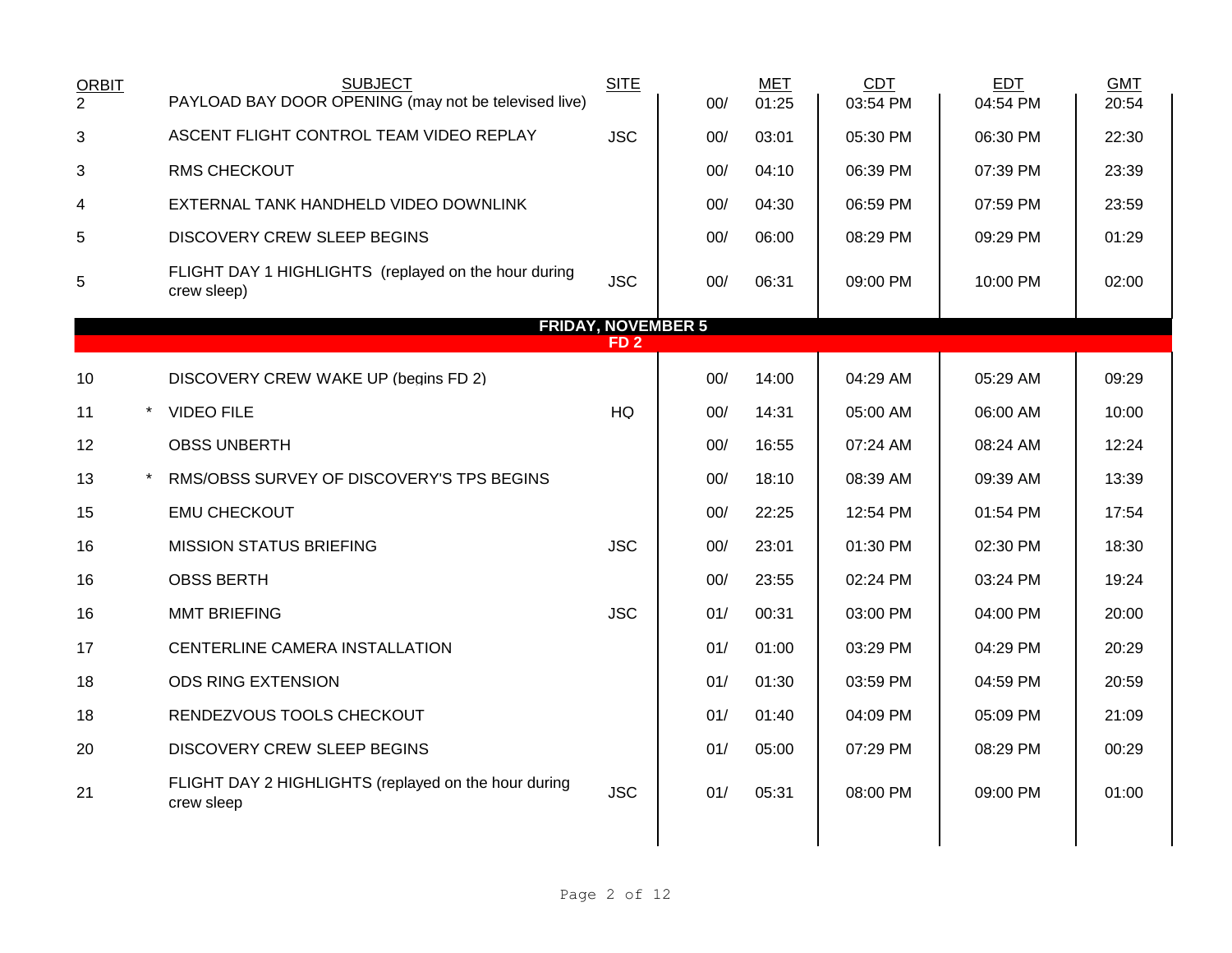| <b>ORBIT</b><br>$\overline{2}$ | <b>SUBJECT</b><br>PAYLOAD BAY DOOR OPENING (may not be televised live) | <b>SITE</b>                                  | 00/ | <b>MET</b><br>01:25 | <b>CDT</b><br>03:54 PM | <b>EDT</b><br>04:54 PM | <b>GMT</b><br>20:54 |
|--------------------------------|------------------------------------------------------------------------|----------------------------------------------|-----|---------------------|------------------------|------------------------|---------------------|
| 3                              | ASCENT FLIGHT CONTROL TEAM VIDEO REPLAY                                | <b>JSC</b>                                   | 00/ | 03:01               | 05:30 PM               | 06:30 PM               | 22:30               |
| 3                              | <b>RMS CHECKOUT</b>                                                    |                                              | 00/ | 04:10               | 06:39 PM               | 07:39 PM               | 23:39               |
| 4                              | EXTERNAL TANK HANDHELD VIDEO DOWNLINK                                  |                                              | 00/ | 04:30               | 06:59 PM               | 07:59 PM               | 23:59               |
| 5                              | <b>DISCOVERY CREW SLEEP BEGINS</b>                                     |                                              | 00/ | 06:00               | 08:29 PM               | 09:29 PM               | 01:29               |
| 5                              | FLIGHT DAY 1 HIGHLIGHTS (replayed on the hour during<br>crew sleep)    | <b>JSC</b>                                   | 00/ | 06:31               | 09:00 PM               | 10:00 PM               | 02:00               |
|                                |                                                                        | <b>FRIDAY, NOVEMBER 5</b><br>FD <sub>2</sub> |     |                     |                        |                        |                     |
|                                |                                                                        |                                              |     |                     |                        |                        |                     |
| 10                             | DISCOVERY CREW WAKE UP (begins FD 2)                                   |                                              | 00/ | 14:00               | 04:29 AM               | 05:29 AM               | 09:29               |
| 11                             | <b>VIDEO FILE</b>                                                      | HQ                                           | 00/ | 14:31               | 05:00 AM               | 06:00 AM               | 10:00               |
| 12                             | <b>OBSS UNBERTH</b>                                                    |                                              | 00/ | 16:55               | 07:24 AM               | 08:24 AM               | 12:24               |
| 13                             | RMS/OBSS SURVEY OF DISCOVERY'S TPS BEGINS                              |                                              | 00/ | 18:10               | 08:39 AM               | 09:39 AM               | 13:39               |
| 15                             | <b>EMU CHECKOUT</b>                                                    |                                              | 00/ | 22:25               | 12:54 PM               | 01:54 PM               | 17:54               |
| 16                             | <b>MISSION STATUS BRIEFING</b>                                         | <b>JSC</b>                                   | 00/ | 23:01               | 01:30 PM               | 02:30 PM               | 18:30               |
| 16                             | <b>OBSS BERTH</b>                                                      |                                              | 00/ | 23:55               | 02:24 PM               | 03:24 PM               | 19:24               |
| 16                             | <b>MMT BRIEFING</b>                                                    | <b>JSC</b>                                   | 01/ | 00:31               | 03:00 PM               | 04:00 PM               | 20:00               |
| 17                             | CENTERLINE CAMERA INSTALLATION                                         |                                              | 01/ | 01:00               | 03:29 PM               | 04:29 PM               | 20:29               |
| 18                             | <b>ODS RING EXTENSION</b>                                              |                                              | 01/ | 01:30               | 03:59 PM               | 04:59 PM               | 20:59               |
| 18                             | RENDEZVOUS TOOLS CHECKOUT                                              |                                              | 01/ | 01:40               | 04:09 PM               | 05:09 PM               | 21:09               |
| 20                             | <b>DISCOVERY CREW SLEEP BEGINS</b>                                     |                                              | 01/ | 05:00               | 07:29 PM               | 08:29 PM               | 00:29               |
| 21                             | FLIGHT DAY 2 HIGHLIGHTS (replayed on the hour during<br>crew sleep     | <b>JSC</b>                                   | 01/ | 05:31               | 08:00 PM               | 09:00 PM               | 01:00               |
|                                |                                                                        |                                              |     |                     |                        |                        |                     |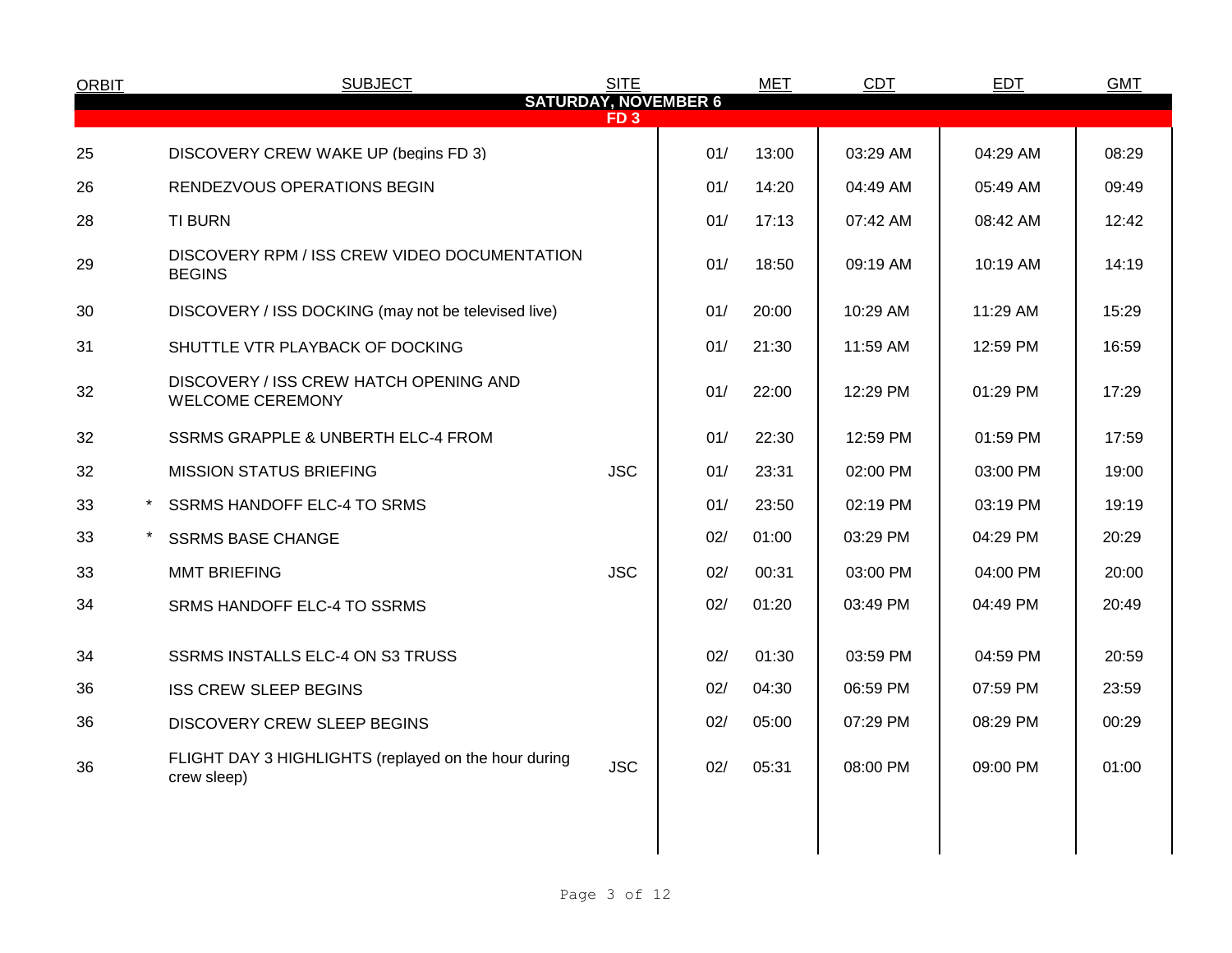| <b>ORBIT</b>   | <b>SUBJECT</b>                                                      | <b>SITE</b>     |                             | <b>MET</b> | <b>CDT</b> | <b>EDT</b> | <b>GMT</b> |
|----------------|---------------------------------------------------------------------|-----------------|-----------------------------|------------|------------|------------|------------|
|                |                                                                     | FD <sub>3</sub> | <b>SATURDAY, NOVEMBER 6</b> |            |            |            |            |
| 25             | DISCOVERY CREW WAKE UP (begins FD 3)                                |                 | 01/                         | 13:00      | 03:29 AM   | 04:29 AM   | 08:29      |
| 26             | RENDEZVOUS OPERATIONS BEGIN                                         |                 | 01/                         | 14:20      | 04:49 AM   | 05:49 AM   | 09:49      |
| 28             | <b>TI BURN</b>                                                      |                 | 01/                         | 17:13      | 07:42 AM   | 08:42 AM   | 12:42      |
| 29             | DISCOVERY RPM / ISS CREW VIDEO DOCUMENTATION<br><b>BEGINS</b>       |                 | 01/                         | 18:50      | 09:19 AM   | 10:19 AM   | 14:19      |
| 30             | DISCOVERY / ISS DOCKING (may not be televised live)                 |                 | 01/                         | 20:00      | 10:29 AM   | 11:29 AM   | 15:29      |
| 31             | SHUTTLE VTR PLAYBACK OF DOCKING                                     |                 | 01/                         | 21:30      | 11:59 AM   | 12:59 PM   | 16:59      |
| 32             | DISCOVERY / ISS CREW HATCH OPENING AND<br><b>WELCOME CEREMONY</b>   |                 | 01/                         | 22:00      | 12:29 PM   | 01:29 PM   | 17:29      |
| 32             | SSRMS GRAPPLE & UNBERTH ELC-4 FROM                                  |                 | 01/                         | 22:30      | 12:59 PM   | 01:59 PM   | 17:59      |
| 32             | <b>MISSION STATUS BRIEFING</b>                                      | <b>JSC</b>      | 01/                         | 23:31      | 02:00 PM   | 03:00 PM   | 19:00      |
| 33<br>$^\star$ | SSRMS HANDOFF ELC-4 TO SRMS                                         |                 | 01/                         | 23:50      | 02:19 PM   | 03:19 PM   | 19:19      |
| 33             | <b>SSRMS BASE CHANGE</b>                                            |                 | 02/                         | 01:00      | 03:29 PM   | 04:29 PM   | 20:29      |
| 33             | <b>MMT BRIEFING</b>                                                 | <b>JSC</b>      | 02/                         | 00:31      | 03:00 PM   | 04:00 PM   | 20:00      |
| 34             | SRMS HANDOFF ELC-4 TO SSRMS                                         |                 | 02/                         | 01:20      | 03:49 PM   | 04:49 PM   | 20:49      |
| 34             | SSRMS INSTALLS ELC-4 ON S3 TRUSS                                    |                 | 02/                         | 01:30      | 03:59 PM   | 04:59 PM   | 20:59      |
| 36             | <b>ISS CREW SLEEP BEGINS</b>                                        |                 | 02/                         | 04:30      | 06:59 PM   | 07:59 PM   | 23:59      |
| 36             | DISCOVERY CREW SLEEP BEGINS                                         |                 | 02/                         | 05:00      | 07:29 PM   | 08:29 PM   | 00:29      |
| 36             | FLIGHT DAY 3 HIGHLIGHTS (replayed on the hour during<br>crew sleep) | <b>JSC</b>      | 02/                         | 05:31      | 08:00 PM   | 09:00 PM   | 01:00      |
|                |                                                                     |                 |                             |            |            |            |            |
|                |                                                                     |                 |                             |            |            |            |            |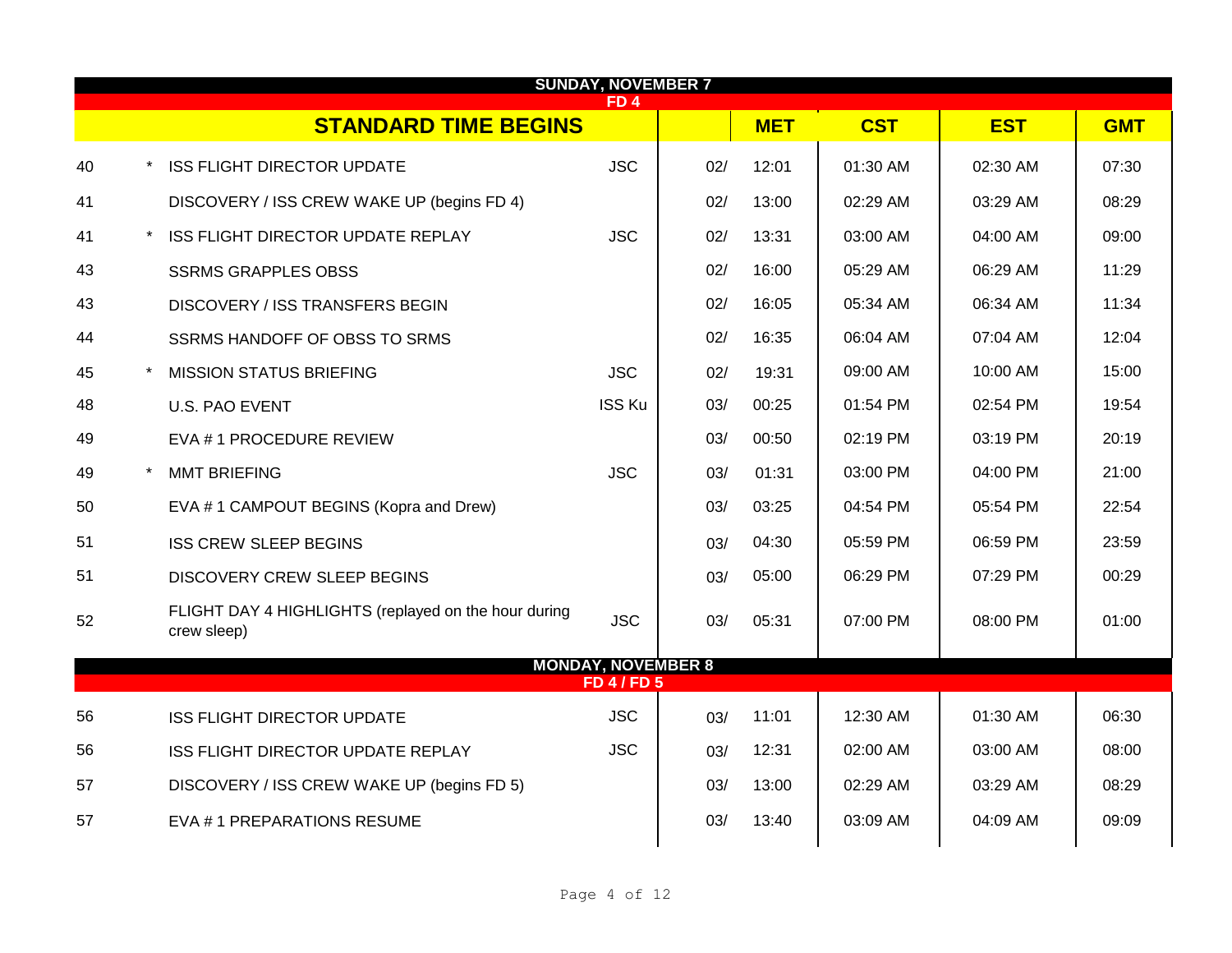|    | <b>SUNDAY, NOVEMBER 7</b><br>FD <sub>4</sub> |                                                                     |                                               |     |            |            |            |            |
|----|----------------------------------------------|---------------------------------------------------------------------|-----------------------------------------------|-----|------------|------------|------------|------------|
|    |                                              | <b>STANDARD TIME BEGINS</b>                                         |                                               |     | <b>MET</b> | <b>CST</b> | <b>EST</b> | <b>GMT</b> |
| 40 |                                              | <b>ISS FLIGHT DIRECTOR UPDATE</b>                                   | <b>JSC</b>                                    | 02/ | 12:01      | 01:30 AM   | 02:30 AM   | 07:30      |
| 41 |                                              | DISCOVERY / ISS CREW WAKE UP (begins FD 4)                          |                                               | 02/ | 13:00      | 02:29 AM   | 03:29 AM   | 08:29      |
| 41 |                                              | ISS FLIGHT DIRECTOR UPDATE REPLAY                                   | <b>JSC</b>                                    | 02/ | 13:31      | 03:00 AM   | 04:00 AM   | 09:00      |
| 43 |                                              | <b>SSRMS GRAPPLES OBSS</b>                                          |                                               | 02/ | 16:00      | 05:29 AM   | 06:29 AM   | 11:29      |
| 43 |                                              | DISCOVERY / ISS TRANSFERS BEGIN                                     |                                               | 02/ | 16:05      | 05:34 AM   | 06:34 AM   | 11:34      |
| 44 |                                              | SSRMS HANDOFF OF OBSS TO SRMS                                       |                                               | 02/ | 16:35      | 06:04 AM   | 07:04 AM   | 12:04      |
| 45 | $\star$                                      | <b>MISSION STATUS BRIEFING</b>                                      | <b>JSC</b>                                    | 02/ | 19:31      | 09:00 AM   | 10:00 AM   | 15:00      |
| 48 |                                              | U.S. PAO EVENT                                                      | <b>ISS Ku</b>                                 | 03/ | 00:25      | 01:54 PM   | 02:54 PM   | 19:54      |
| 49 |                                              | EVA # 1 PROCEDURE REVIEW                                            |                                               | 03/ | 00:50      | 02:19 PM   | 03:19 PM   | 20:19      |
| 49 |                                              | <b>MMT BRIEFING</b>                                                 | <b>JSC</b>                                    | 03/ | 01:31      | 03:00 PM   | 04:00 PM   | 21:00      |
| 50 |                                              | EVA #1 CAMPOUT BEGINS (Kopra and Drew)                              |                                               | 03/ | 03:25      | 04:54 PM   | 05:54 PM   | 22:54      |
| 51 |                                              | <b>ISS CREW SLEEP BEGINS</b>                                        |                                               | 03/ | 04:30      | 05:59 PM   | 06:59 PM   | 23:59      |
| 51 |                                              | <b>DISCOVERY CREW SLEEP BEGINS</b>                                  |                                               | 03/ | 05:00      | 06:29 PM   | 07:29 PM   | 00:29      |
| 52 |                                              | FLIGHT DAY 4 HIGHLIGHTS (replayed on the hour during<br>crew sleep) | <b>JSC</b>                                    | 03/ | 05:31      | 07:00 PM   | 08:00 PM   | 01:00      |
|    |                                              |                                                                     | <b>MONDAY, NOVEMBER 8</b><br><b>FD 4/FD 5</b> |     |            |            |            |            |
| 56 |                                              | <b>ISS FLIGHT DIRECTOR UPDATE</b>                                   | <b>JSC</b>                                    | 03/ | 11:01      | 12:30 AM   | 01:30 AM   | 06:30      |
| 56 |                                              | ISS FLIGHT DIRECTOR UPDATE REPLAY                                   | <b>JSC</b>                                    | 03/ | 12:31      | 02:00 AM   | 03:00 AM   | 08:00      |
| 57 |                                              | DISCOVERY / ISS CREW WAKE UP (begins FD 5)                          |                                               | 03/ | 13:00      | 02:29 AM   | 03:29 AM   | 08:29      |
| 57 |                                              | EVA #1 PREPARATIONS RESUME                                          |                                               | 03/ | 13:40      | 03:09 AM   | 04:09 AM   | 09:09      |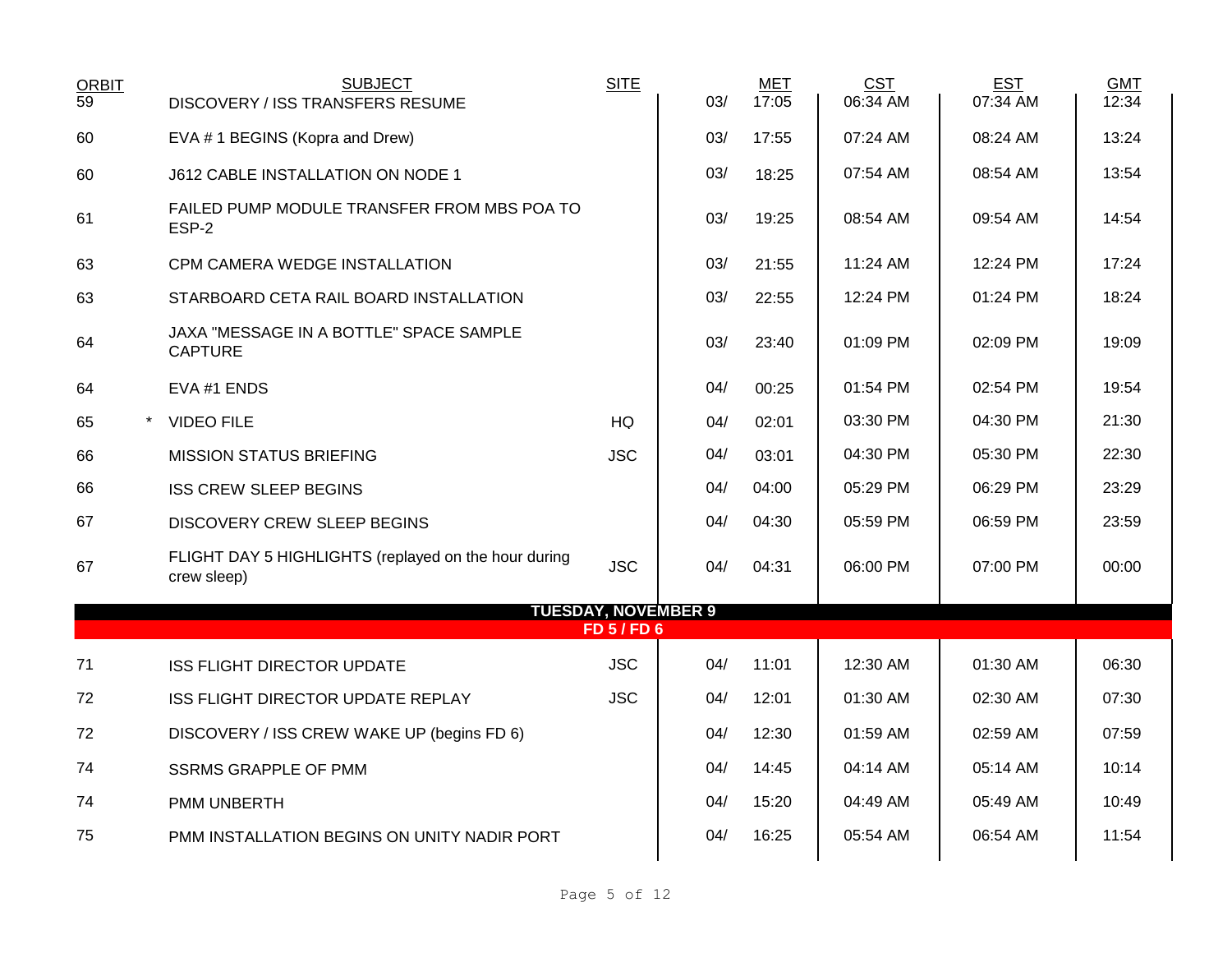| <b>ORBIT</b>    | <b>SUBJECT</b>                                                      | <b>SITE</b>      |     | <b>MET</b> | <b>CST</b> | <b>EST</b> | <b>GMT</b> |
|-----------------|---------------------------------------------------------------------|------------------|-----|------------|------------|------------|------------|
| $\overline{59}$ | DISCOVERY / ISS TRANSFERS RESUME                                    |                  | 03/ | 17:05      | 06:34 AM   | 07:34 AM   | 12:34      |
| 60              | EVA #1 BEGINS (Kopra and Drew)                                      |                  | 03/ | 17:55      | 07:24 AM   | 08:24 AM   | 13:24      |
| 60              | J612 CABLE INSTALLATION ON NODE 1                                   |                  | 03/ | 18:25      | 07:54 AM   | 08:54 AM   | 13:54      |
| 61              | FAILED PUMP MODULE TRANSFER FROM MBS POA TO<br>ESP-2                |                  | 03/ | 19:25      | 08:54 AM   | 09:54 AM   | 14:54      |
| 63              | CPM CAMERA WEDGE INSTALLATION                                       |                  | 03/ | 21:55      | 11:24 AM   | 12:24 PM   | 17:24      |
| 63              | STARBOARD CETA RAIL BOARD INSTALLATION                              |                  | 03/ | 22:55      | 12:24 PM   | 01:24 PM   | 18:24      |
| 64              | JAXA "MESSAGE IN A BOTTLE" SPACE SAMPLE<br><b>CAPTURE</b>           |                  | 03/ | 23:40      | 01:09 PM   | 02:09 PM   | 19:09      |
| 64              | EVA #1 ENDS                                                         |                  | 04/ | 00:25      | 01:54 PM   | 02:54 PM   | 19:54      |
| 65<br>$\star$   | <b>VIDEO FILE</b>                                                   | <b>HQ</b>        | 04/ | 02:01      | 03:30 PM   | 04:30 PM   | 21:30      |
| 66              | <b>MISSION STATUS BRIEFING</b>                                      | <b>JSC</b>       | 04/ | 03:01      | 04:30 PM   | 05:30 PM   | 22:30      |
| 66              | <b>ISS CREW SLEEP BEGINS</b>                                        |                  | 04/ | 04:00      | 05:29 PM   | 06:29 PM   | 23:29      |
| 67              | <b>DISCOVERY CREW SLEEP BEGINS</b>                                  |                  | 04/ | 04:30      | 05:59 PM   | 06:59 PM   | 23:59      |
| 67              | FLIGHT DAY 5 HIGHLIGHTS (replayed on the hour during<br>crew sleep) | <b>JSC</b>       | 04/ | 04:31      | 06:00 PM   | 07:00 PM   | 00:00      |
|                 | <b>TUESDAY, NOVEMBER 9</b>                                          |                  |     |            |            |            |            |
|                 |                                                                     | <b>FD 5/FD 6</b> |     |            |            |            |            |
| 71              | <b>ISS FLIGHT DIRECTOR UPDATE</b>                                   | <b>JSC</b>       | 04/ | 11:01      | 12:30 AM   | 01:30 AM   | 06:30      |
| 72              | ISS FLIGHT DIRECTOR UPDATE REPLAY                                   | <b>JSC</b>       | 04/ | 12:01      | 01:30 AM   | 02:30 AM   | 07:30      |
| 72              | DISCOVERY / ISS CREW WAKE UP (begins FD 6)                          |                  | 04/ | 12:30      | 01:59 AM   | 02:59 AM   | 07:59      |
| 74              | <b>SSRMS GRAPPLE OF PMM</b>                                         |                  | 04/ | 14:45      | 04:14 AM   | 05:14 AM   | 10:14      |
| 74              | <b>PMM UNBERTH</b>                                                  |                  | 04/ | 15:20      | 04:49 AM   | 05:49 AM   | 10:49      |
| 75              | PMM INSTALLATION BEGINS ON UNITY NADIR PORT                         |                  | 04/ | 16:25      | 05:54 AM   | 06:54 AM   | 11:54      |
|                 |                                                                     |                  |     |            |            |            |            |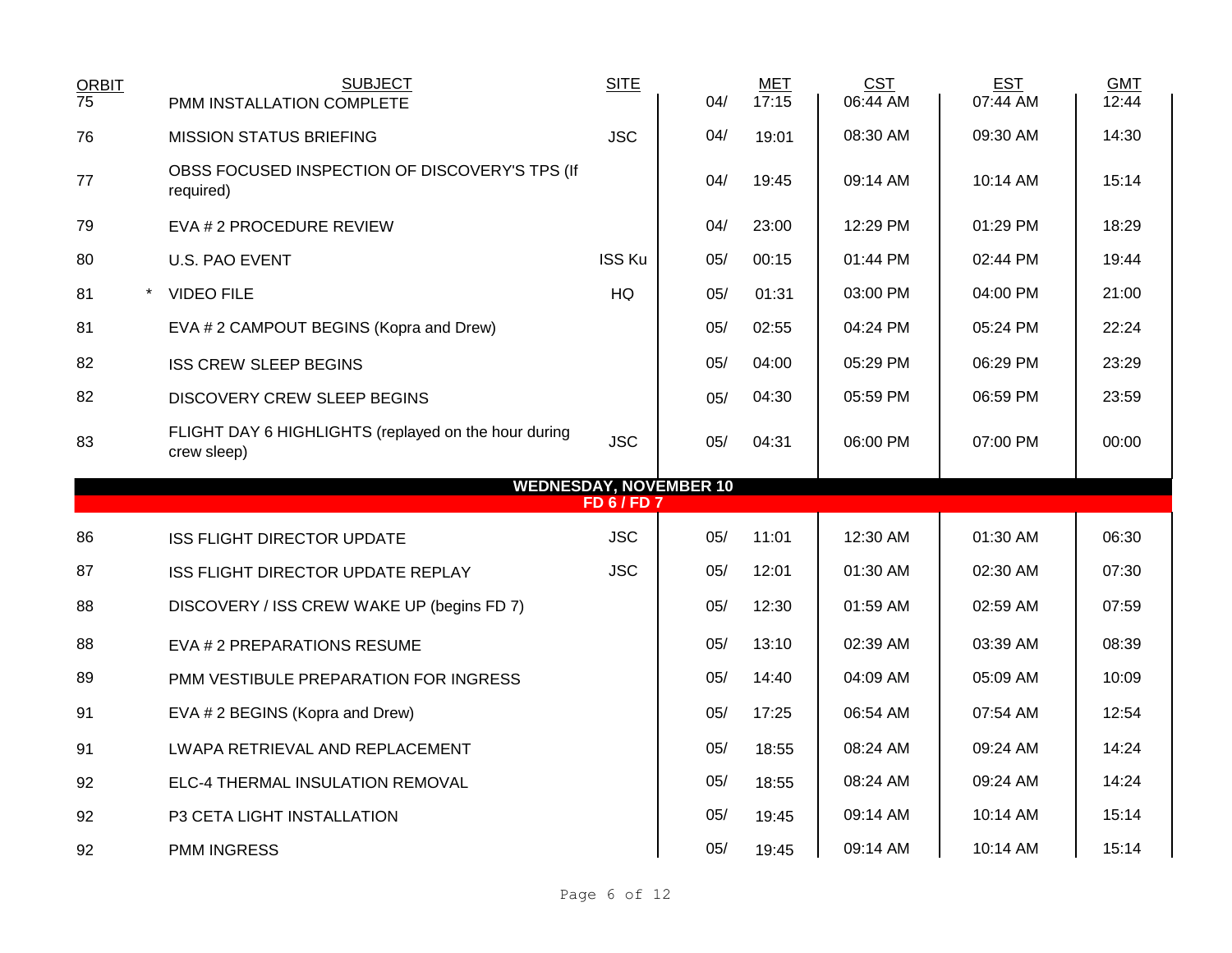| <b>ORBIT</b><br>$\overline{75}$ | <b>SUBJECT</b><br>PMM INSTALLATION COMPLETE                         | <b>SITE</b>        | 04/                           | <b>MET</b><br>17:15 | <b>CST</b><br>06:44 AM | <b>EST</b><br>07:44 AM | <b>GMT</b><br>12:44 |
|---------------------------------|---------------------------------------------------------------------|--------------------|-------------------------------|---------------------|------------------------|------------------------|---------------------|
| 76                              | <b>MISSION STATUS BRIEFING</b>                                      | <b>JSC</b>         | 04/                           | 19:01               | 08:30 AM               | 09:30 AM               | 14:30               |
| 77                              | OBSS FOCUSED INSPECTION OF DISCOVERY'S TPS (If<br>required)         |                    | 04/                           | 19:45               | 09:14 AM               | 10:14 AM               | 15:14               |
| 79                              | EVA # 2 PROCEDURE REVIEW                                            |                    | 04/                           | 23:00               | 12:29 PM               | 01:29 PM               | 18:29               |
| 80                              | <b>U.S. PAO EVENT</b>                                               | <b>ISS Ku</b>      | 05/                           | 00:15               | 01:44 PM               | 02:44 PM               | 19:44               |
| 81                              | <b>VIDEO FILE</b>                                                   | HQ                 | 05/                           | 01:31               | 03:00 PM               | 04:00 PM               | 21:00               |
| 81                              | EVA # 2 CAMPOUT BEGINS (Kopra and Drew)                             |                    | 05/                           | 02:55               | 04:24 PM               | 05:24 PM               | 22:24               |
| 82                              | <b>ISS CREW SLEEP BEGINS</b>                                        |                    | 05/                           | 04:00               | 05:29 PM               | 06:29 PM               | 23:29               |
| 82                              | <b>DISCOVERY CREW SLEEP BEGINS</b>                                  |                    | 05/                           | 04:30               | 05:59 PM               | 06:59 PM               | 23:59               |
| 83                              | FLIGHT DAY 6 HIGHLIGHTS (replayed on the hour during<br>crew sleep) | <b>JSC</b>         | 05/                           | 04:31               | 06:00 PM               | 07:00 PM               | 00:00               |
|                                 |                                                                     |                    |                               |                     |                        |                        |                     |
|                                 |                                                                     |                    | <b>WEDNESDAY, NOVEMBER 10</b> |                     |                        |                        |                     |
|                                 |                                                                     | <b>FD 6 / FD 7</b> |                               |                     |                        |                        |                     |
| 86                              | <b>ISS FLIGHT DIRECTOR UPDATE</b>                                   | <b>JSC</b>         | 05/                           | 11:01               | 12:30 AM               | 01:30 AM               | 06:30               |
| 87                              | ISS FLIGHT DIRECTOR UPDATE REPLAY                                   | <b>JSC</b>         | 05/                           | 12:01               | 01:30 AM               | 02:30 AM               | 07:30               |
| 88                              | DISCOVERY / ISS CREW WAKE UP (begins FD 7)                          |                    | 05/                           | 12:30               | 01:59 AM               | 02:59 AM               | 07:59               |
| 88                              | EVA # 2 PREPARATIONS RESUME                                         |                    | 05/                           | 13:10               | 02:39 AM               | 03:39 AM               | 08:39               |
| 89                              | PMM VESTIBULE PREPARATION FOR INGRESS                               |                    | 05/                           | 14:40               | 04:09 AM               | 05:09 AM               | 10:09               |
| 91                              | EVA # 2 BEGINS (Kopra and Drew)                                     |                    | 05/                           | 17:25               | 06:54 AM               | 07:54 AM               | 12:54               |
| 91                              | LWAPA RETRIEVAL AND REPLACEMENT                                     |                    | 05/                           | 18:55               | 08:24 AM               | 09:24 AM               | 14:24               |
| 92                              | ELC-4 THERMAL INSULATION REMOVAL                                    |                    | 05/                           | 18:55               | 08:24 AM               | 09:24 AM               | 14:24               |
| 92                              | P3 CETA LIGHT INSTALLATION                                          |                    | 05/                           | 19:45               | 09:14 AM               | 10:14 AM               | 15:14               |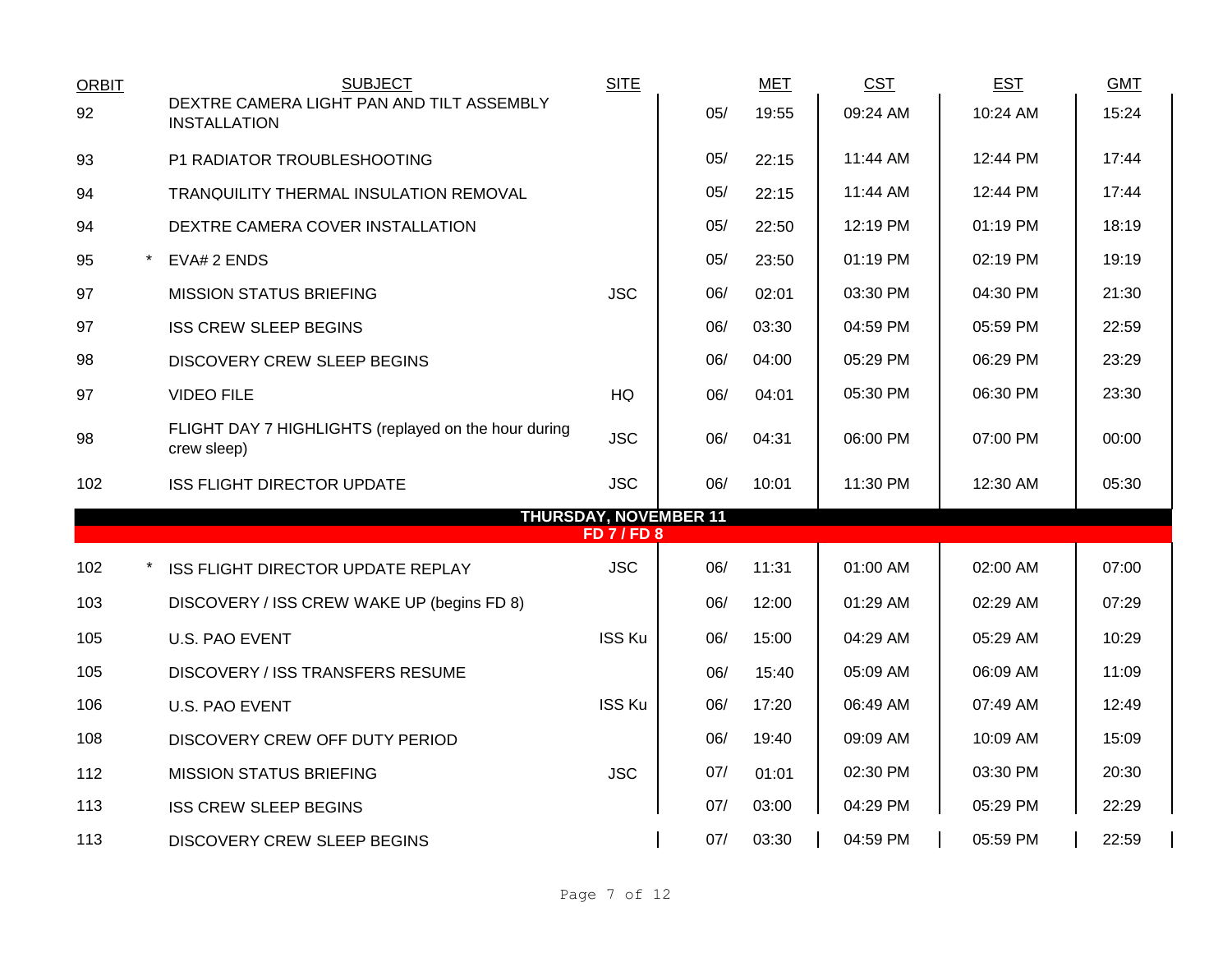| <b>ORBIT</b> | <b>SUBJECT</b>                                                      | <b>SITE</b>        |                              | <b>MET</b> | <b>CST</b> | <b>EST</b> | <b>GMT</b> |
|--------------|---------------------------------------------------------------------|--------------------|------------------------------|------------|------------|------------|------------|
| 92           | DEXTRE CAMERA LIGHT PAN AND TILT ASSEMBLY<br><b>INSTALLATION</b>    |                    | 05/                          | 19:55      | 09:24 AM   | 10:24 AM   | 15:24      |
| 93           | P1 RADIATOR TROUBLESHOOTING                                         |                    | 05/                          | 22:15      | 11:44 AM   | 12:44 PM   | 17:44      |
| 94           | TRANQUILITY THERMAL INSULATION REMOVAL                              |                    | 05/                          | 22:15      | 11:44 AM   | 12:44 PM   | 17:44      |
| 94           | DEXTRE CAMERA COVER INSTALLATION                                    |                    | 05/                          | 22:50      | 12:19 PM   | 01:19 PM   | 18:19      |
| 95           | EVA# 2 ENDS                                                         |                    | 05/                          | 23:50      | 01:19 PM   | 02:19 PM   | 19:19      |
| 97           | <b>MISSION STATUS BRIEFING</b>                                      | <b>JSC</b>         | 06/                          | 02:01      | 03:30 PM   | 04:30 PM   | 21:30      |
| 97           | <b>ISS CREW SLEEP BEGINS</b>                                        |                    | 06/                          | 03:30      | 04:59 PM   | 05:59 PM   | 22:59      |
| 98           | <b>DISCOVERY CREW SLEEP BEGINS</b>                                  |                    | 06/                          | 04:00      | 05:29 PM   | 06:29 PM   | 23:29      |
| 97           | <b>VIDEO FILE</b>                                                   | HQ                 | 06/                          | 04:01      | 05:30 PM   | 06:30 PM   | 23:30      |
| 98           | FLIGHT DAY 7 HIGHLIGHTS (replayed on the hour during<br>crew sleep) | <b>JSC</b>         | 06/                          | 04:31      | 06:00 PM   | 07:00 PM   | 00:00      |
| 102          | <b>ISS FLIGHT DIRECTOR UPDATE</b>                                   | <b>JSC</b>         | 06/                          | 10:01      | 11:30 PM   | 12:30 AM   | 05:30      |
|              |                                                                     | <b>FD 7 / FD 8</b> | <b>THURSDAY, NOVEMBER 11</b> |            |            |            |            |
| 102          | ISS FLIGHT DIRECTOR UPDATE REPLAY                                   | <b>JSC</b>         | 06/                          | 11:31      | 01:00 AM   | 02:00 AM   | 07:00      |
| 103          | DISCOVERY / ISS CREW WAKE UP (begins FD 8)                          |                    | 06/                          | 12:00      | 01:29 AM   | 02:29 AM   | 07:29      |
| 105          | <b>U.S. PAO EVENT</b>                                               | ISS Ku             | 06/                          | 15:00      | 04:29 AM   | 05:29 AM   | 10:29      |
| 105          | <b>DISCOVERY / ISS TRANSFERS RESUME</b>                             |                    | 06/                          | 15:40      | 05:09 AM   | 06:09 AM   | 11:09      |
| 106          | <b>U.S. PAO EVENT</b>                                               | <b>ISS Ku</b>      | 06/                          | 17:20      | 06:49 AM   | 07:49 AM   | 12:49      |
| 108          | DISCOVERY CREW OFF DUTY PERIOD                                      |                    | 06/                          | 19:40      | 09:09 AM   | 10:09 AM   | 15:09      |
| 112          | <b>MISSION STATUS BRIEFING</b>                                      | <b>JSC</b>         | 07/                          | 01:01      | 02:30 PM   | 03:30 PM   | 20:30      |
| 113          | <b>ISS CREW SLEEP BEGINS</b>                                        |                    | 07/                          | 03:00      | 04:29 PM   | 05:29 PM   | 22:29      |
| 113          | <b>DISCOVERY CREW SLEEP BEGINS</b>                                  |                    | 07/                          | 03:30      | 04:59 PM   | 05:59 PM   | 22:59      |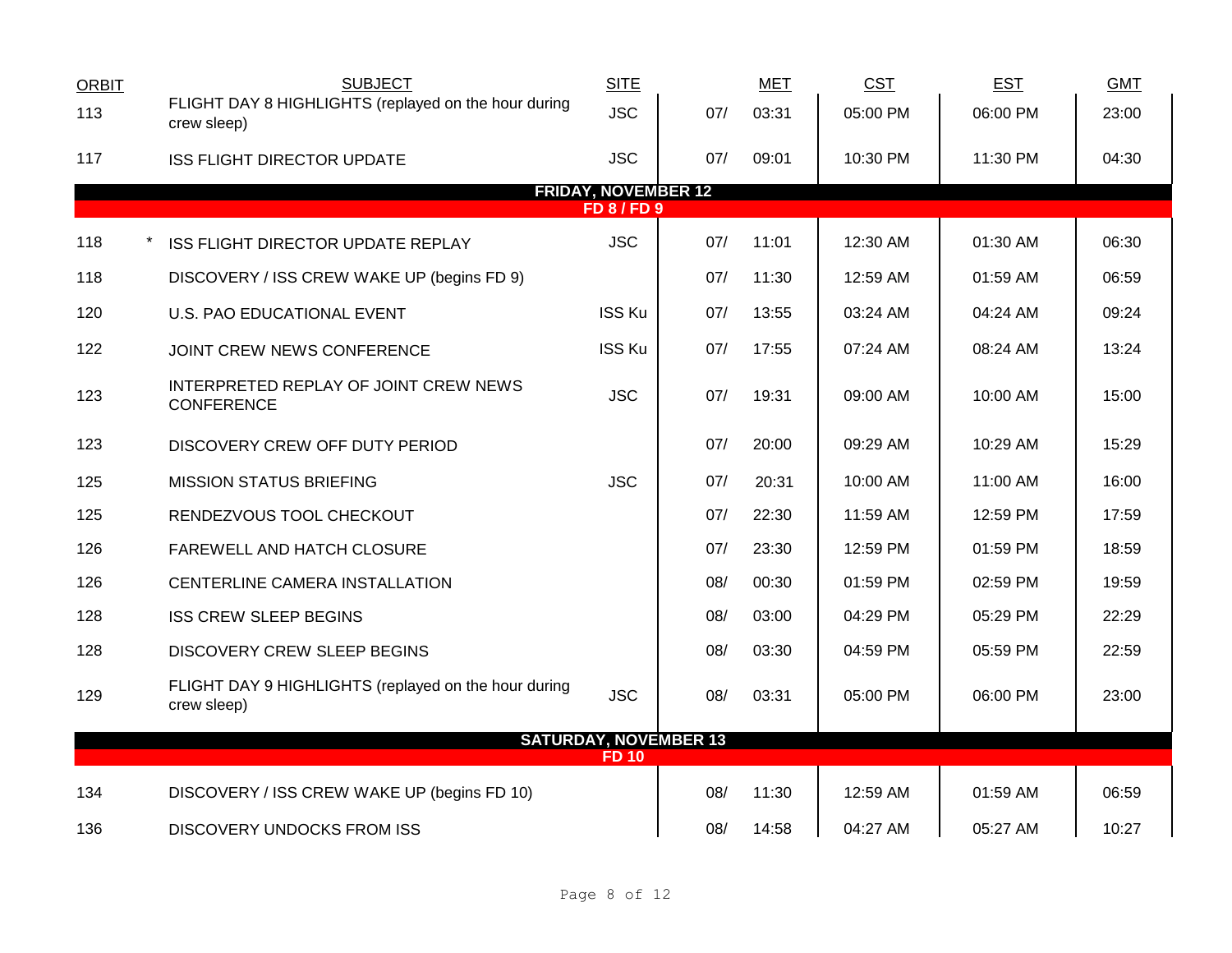| <b>ORBIT</b> | <b>SUBJECT</b>                                                      | <b>SITE</b>                                      |                              | <b>MET</b> | <b>CST</b> | <b>EST</b> | <b>GMT</b> |
|--------------|---------------------------------------------------------------------|--------------------------------------------------|------------------------------|------------|------------|------------|------------|
| 113          | FLIGHT DAY 8 HIGHLIGHTS (replayed on the hour during<br>crew sleep) | <b>JSC</b>                                       | 07/                          | 03:31      | 05:00 PM   | 06:00 PM   | 23:00      |
| 117          | <b>ISS FLIGHT DIRECTOR UPDATE</b>                                   | <b>JSC</b>                                       | 07/                          | 09:01      | 10:30 PM   | 11:30 PM   | 04:30      |
|              |                                                                     | <b>FRIDAY, NOVEMBER 12</b><br><b>FD 8 / FD 9</b> |                              |            |            |            |            |
| 118          |                                                                     | <b>JSC</b>                                       | 07/                          | 11:01      | 12:30 AM   | 01:30 AM   | 06:30      |
|              | ISS FLIGHT DIRECTOR UPDATE REPLAY                                   |                                                  |                              |            |            |            |            |
| 118          | DISCOVERY / ISS CREW WAKE UP (begins FD 9)                          |                                                  | 07/                          | 11:30      | 12:59 AM   | 01:59 AM   | 06:59      |
| 120          | U.S. PAO EDUCATIONAL EVENT                                          | ISS Ku                                           | 07/                          | 13:55      | 03:24 AM   | 04:24 AM   | 09:24      |
| 122          | JOINT CREW NEWS CONFERENCE                                          | ISS Ku                                           | 07/                          | 17:55      | 07:24 AM   | 08:24 AM   | 13:24      |
| 123          | INTERPRETED REPLAY OF JOINT CREW NEWS<br><b>CONFERENCE</b>          | <b>JSC</b>                                       | 07/                          | 19:31      | 09:00 AM   | 10:00 AM   | 15:00      |
| 123          | DISCOVERY CREW OFF DUTY PERIOD                                      |                                                  | 07/                          | 20:00      | 09:29 AM   | 10:29 AM   | 15:29      |
| 125          | <b>MISSION STATUS BRIEFING</b>                                      | <b>JSC</b>                                       | 07/                          | 20:31      | 10:00 AM   | 11:00 AM   | 16:00      |
| 125          | RENDEZVOUS TOOL CHECKOUT                                            |                                                  | 07/                          | 22:30      | 11:59 AM   | 12:59 PM   | 17:59      |
| 126          | FAREWELL AND HATCH CLOSURE                                          |                                                  | 07/                          | 23:30      | 12:59 PM   | 01:59 PM   | 18:59      |
| 126          | CENTERLINE CAMERA INSTALLATION                                      |                                                  | 08/                          | 00:30      | 01:59 PM   | 02:59 PM   | 19:59      |
| 128          | <b>ISS CREW SLEEP BEGINS</b>                                        |                                                  | 08/                          | 03:00      | 04:29 PM   | 05:29 PM   | 22:29      |
| 128          | DISCOVERY CREW SLEEP BEGINS                                         |                                                  | 08/                          | 03:30      | 04:59 PM   | 05:59 PM   | 22:59      |
| 129          | FLIGHT DAY 9 HIGHLIGHTS (replayed on the hour during<br>crew sleep) | <b>JSC</b>                                       | 08/                          | 03:31      | 05:00 PM   | 06:00 PM   | 23:00      |
|              |                                                                     |                                                  | <b>SATURDAY, NOVEMBER 13</b> |            |            |            |            |
|              |                                                                     | <b>FD 10</b>                                     |                              |            |            |            |            |
| 134          | DISCOVERY / ISS CREW WAKE UP (begins FD 10)                         |                                                  | 08/                          | 11:30      | 12:59 AM   | 01:59 AM   | 06:59      |
| 136          | <b>DISCOVERY UNDOCKS FROM ISS</b>                                   |                                                  | 08/                          | 14:58      | 04:27 AM   | 05:27 AM   | 10:27      |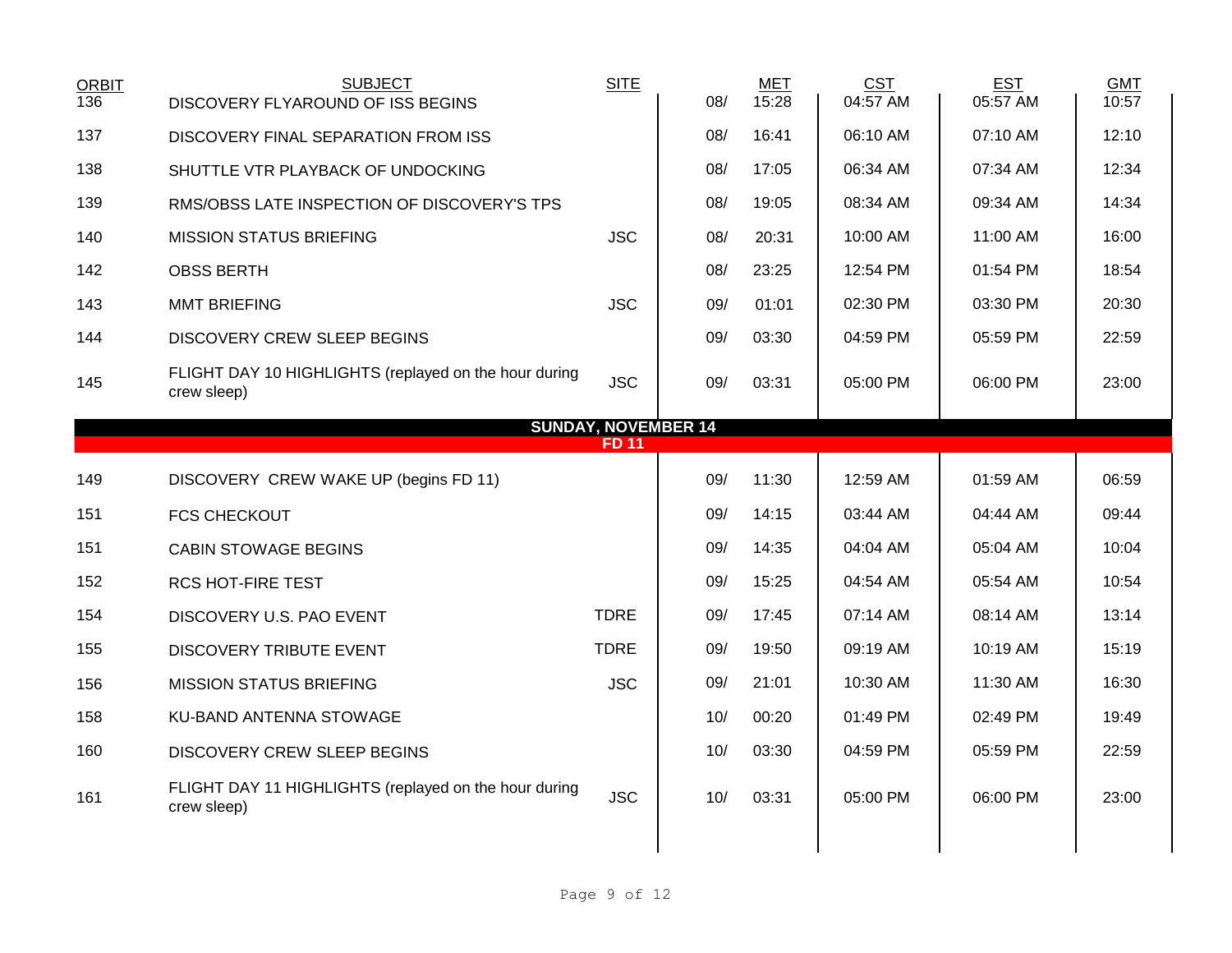| <b>ORBIT</b><br>136 | <b>SUBJECT</b><br>DISCOVERY FLYAROUND OF ISS BEGINS                  | <b>SITE</b>                | 08/ | <b>MET</b><br>15:28 | <b>CST</b><br>04:57 AM | <b>EST</b><br>05:57 AM | <b>GMT</b><br>10:57 |
|---------------------|----------------------------------------------------------------------|----------------------------|-----|---------------------|------------------------|------------------------|---------------------|
| 137                 | DISCOVERY FINAL SEPARATION FROM ISS                                  |                            | 08/ | 16:41               | 06:10 AM               | 07:10 AM               | 12:10               |
| 138                 | SHUTTLE VTR PLAYBACK OF UNDOCKING                                    |                            | 08/ | 17:05               | 06:34 AM               | 07:34 AM               | 12:34               |
| 139                 | RMS/OBSS LATE INSPECTION OF DISCOVERY'S TPS                          |                            | 08/ | 19:05               | 08:34 AM               | 09:34 AM               | 14:34               |
| 140                 | <b>MISSION STATUS BRIEFING</b>                                       | <b>JSC</b>                 | 08/ | 20:31               | 10:00 AM               | 11:00 AM               | 16:00               |
| 142                 | <b>OBSS BERTH</b>                                                    |                            | 08/ | 23:25               | 12:54 PM               | 01:54 PM               | 18:54               |
| 143                 | <b>MMT BRIEFING</b>                                                  | <b>JSC</b>                 | 09/ | 01:01               | 02:30 PM               | 03:30 PM               | 20:30               |
| 144                 | DISCOVERY CREW SLEEP BEGINS                                          |                            | 09/ | 03:30               | 04:59 PM               | 05:59 PM               | 22:59               |
| 145                 | FLIGHT DAY 10 HIGHLIGHTS (replayed on the hour during<br>crew sleep) | <b>JSC</b>                 | 09/ | 03:31               | 05:00 PM               | 06:00 PM               | 23:00               |
|                     |                                                                      | <b>SUNDAY, NOVEMBER 14</b> |     |                     |                        |                        |                     |
|                     |                                                                      | <b>FD 11</b>               |     |                     |                        |                        |                     |
| 149                 | DISCOVERY CREW WAKE UP (begins FD 11)                                |                            | 09/ | 11:30               | 12:59 AM               | 01:59 AM               | 06:59               |
| 151                 | <b>FCS CHECKOUT</b>                                                  |                            | 09/ | 14:15               | 03:44 AM               | 04:44 AM               | 09:44               |
| 151                 | <b>CABIN STOWAGE BEGINS</b>                                          |                            | 09/ | 14:35               | 04:04 AM               | 05:04 AM               | 10:04               |
| 152                 | <b>RCS HOT-FIRE TEST</b>                                             |                            | 09/ | 15:25               | 04:54 AM               | 05:54 AM               | 10:54               |
| 154                 | DISCOVERY U.S. PAO EVENT                                             | <b>TDRE</b>                | 09/ | 17:45               | 07:14 AM               | 08:14 AM               | 13:14               |
| 155                 | DISCOVERY TRIBUTE EVENT                                              | <b>TDRE</b>                | 09/ | 19:50               | 09:19 AM               | 10:19 AM               | 15:19               |
| 156                 | <b>MISSION STATUS BRIEFING</b>                                       | <b>JSC</b>                 | 09/ | 21:01               | 10:30 AM               | 11:30 AM               | 16:30               |
| 158                 | KU-BAND ANTENNA STOWAGE                                              |                            | 10/ | 00:20               | 01:49 PM               | 02:49 PM               | 19:49               |
| 160                 | <b>DISCOVERY CREW SLEEP BEGINS</b>                                   |                            | 10/ | 03:30               | 04:59 PM               | 05:59 PM               | 22:59               |
| 161                 | FLIGHT DAY 11 HIGHLIGHTS (replayed on the hour during<br>crew sleep) | <b>JSC</b>                 | 10/ | 03:31               | 05:00 PM               | 06:00 PM               | 23:00               |
|                     |                                                                      |                            |     |                     |                        |                        |                     |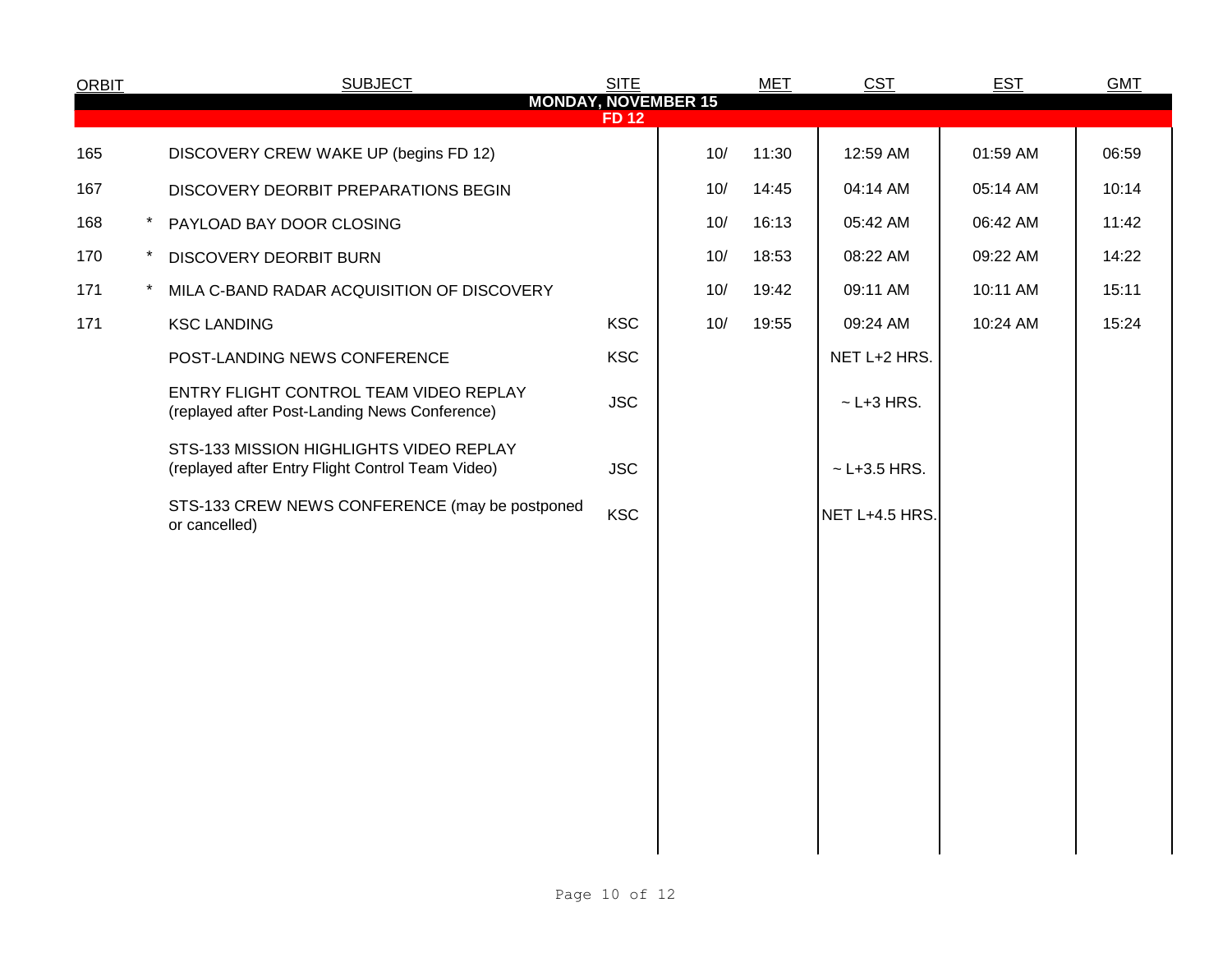| <b>ORBIT</b> |          | <b>SUBJECT</b>                                                                              | <b>SITE</b> |     | <b>MET</b> | <b>CST</b>       | <b>EST</b> | <b>GMT</b> |
|--------------|----------|---------------------------------------------------------------------------------------------|-------------|-----|------------|------------------|------------|------------|
|              |          | <b>MONDAY, NOVEMBER 15</b>                                                                  | <b>FD12</b> |     |            |                  |            |            |
| 165          |          | DISCOVERY CREW WAKE UP (begins FD 12)                                                       |             | 10/ | 11:30      | 12:59 AM         | 01:59 AM   | 06:59      |
| 167          |          | DISCOVERY DEORBIT PREPARATIONS BEGIN                                                        |             | 10/ | 14:45      | 04:14 AM         | 05:14 AM   | 10:14      |
| 168          | $\star$  | PAYLOAD BAY DOOR CLOSING                                                                    |             | 10/ | 16:13      | 05:42 AM         | 06:42 AM   | 11:42      |
| 170          | $\star$  | DISCOVERY DEORBIT BURN                                                                      |             | 10/ | 18:53      | 08:22 AM         | 09:22 AM   | 14:22      |
| 171          | $^\star$ | MILA C-BAND RADAR ACQUISITION OF DISCOVERY                                                  |             | 10/ | 19:42      | 09:11 AM         | 10:11 AM   | 15:11      |
| 171          |          | <b>KSC LANDING</b>                                                                          | <b>KSC</b>  | 10/ | 19:55      | 09:24 AM         | 10:24 AM   | 15:24      |
|              |          | POST-LANDING NEWS CONFERENCE                                                                | <b>KSC</b>  |     |            | NET L+2 HRS.     |            |            |
|              |          | ENTRY FLIGHT CONTROL TEAM VIDEO REPLAY<br>(replayed after Post-Landing News Conference)     | <b>JSC</b>  |     |            | $\sim$ L+3 HRS.  |            |            |
|              |          | STS-133 MISSION HIGHLIGHTS VIDEO REPLAY<br>(replayed after Entry Flight Control Team Video) | <b>JSC</b>  |     |            | $~$ - L+3.5 HRS. |            |            |
|              |          | STS-133 CREW NEWS CONFERENCE (may be postponed<br>or cancelled)                             | <b>KSC</b>  |     |            | NET L+4.5 HRS.   |            |            |
|              |          |                                                                                             |             |     |            |                  |            |            |
|              |          |                                                                                             |             |     |            |                  |            |            |
|              |          |                                                                                             |             |     |            |                  |            |            |
|              |          |                                                                                             |             |     |            |                  |            |            |
|              |          |                                                                                             |             |     |            |                  |            |            |
|              |          |                                                                                             |             |     |            |                  |            |            |
|              |          |                                                                                             |             |     |            |                  |            |            |
|              |          |                                                                                             |             |     |            |                  |            |            |
|              |          |                                                                                             |             |     |            |                  |            |            |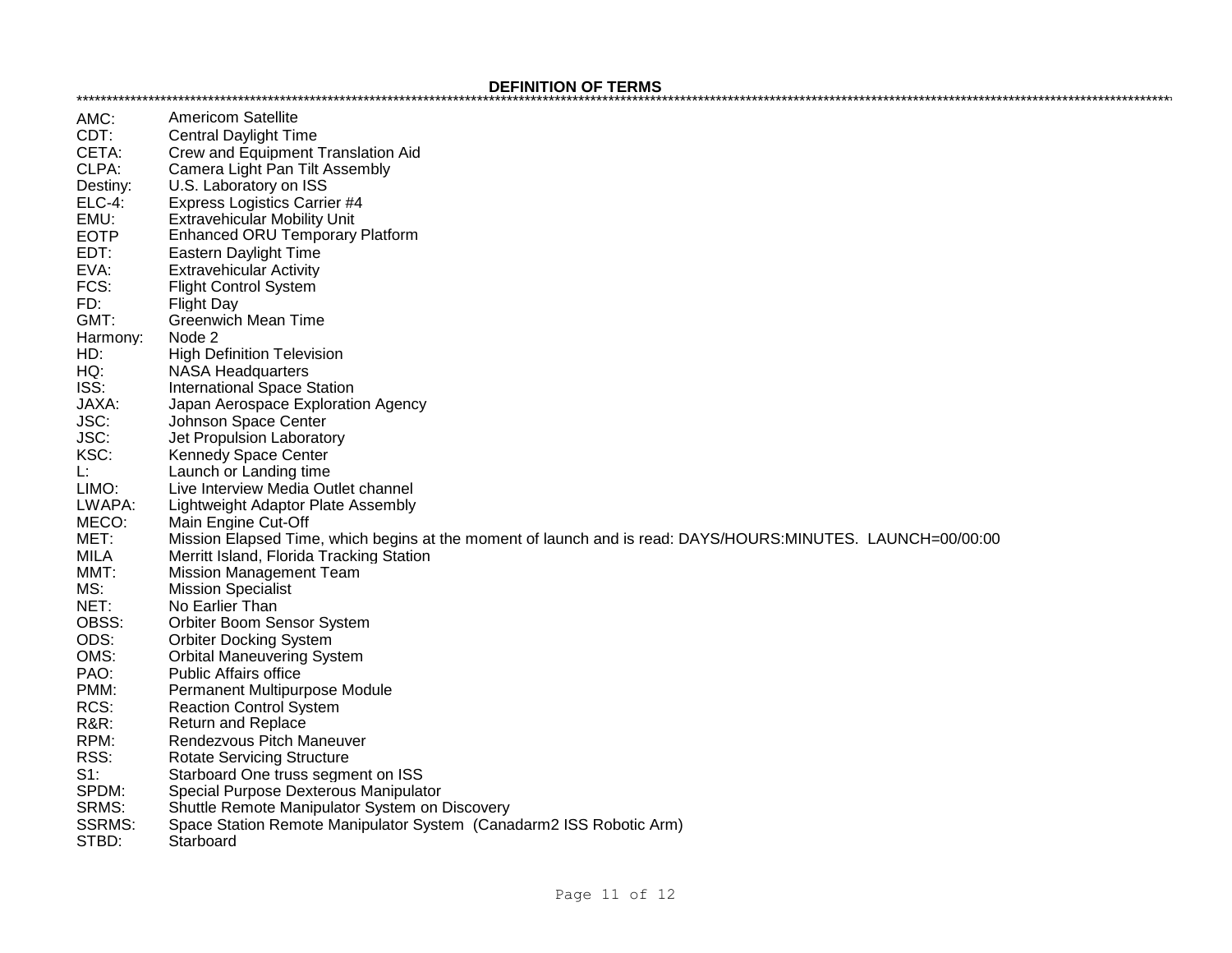## **DEFINITION OF TERMS**

| AMC:            | <b>Americom Satellite</b>                                                                                   |
|-----------------|-------------------------------------------------------------------------------------------------------------|
| CDT:            | <b>Central Daylight Time</b>                                                                                |
| CETA:           | Crew and Equipment Translation Aid                                                                          |
| CLPA:           | Camera Light Pan Tilt Assembly                                                                              |
| Destiny:        | U.S. Laboratory on ISS                                                                                      |
| <b>ELC-4:</b>   | <b>Express Logistics Carrier #4</b>                                                                         |
| EMU:            | <b>Extravehicular Mobility Unit</b>                                                                         |
| <b>EOTP</b>     | <b>Enhanced ORU Temporary Platform</b>                                                                      |
| EDT:            | Eastern Daylight Time                                                                                       |
| EVA:            | <b>Extravehicular Activity</b>                                                                              |
| FCS:            | <b>Flight Control System</b>                                                                                |
| FD:             | <b>Flight Day</b>                                                                                           |
| GMT:            | <b>Greenwich Mean Time</b>                                                                                  |
| Harmony:        | Node 2                                                                                                      |
| HD:             | <b>High Definition Television</b>                                                                           |
| HQ:             | <b>NASA Headquarters</b>                                                                                    |
| ISS:            | <b>International Space Station</b>                                                                          |
|                 |                                                                                                             |
| JAXA:           | Japan Aerospace Exploration Agency                                                                          |
| JSC:            | Johnson Space Center                                                                                        |
| JSC:            | Jet Propulsion Laboratory                                                                                   |
| KSC:            | Kennedy Space Center                                                                                        |
| Ŀ.              | Launch or Landing time                                                                                      |
| LIMO:           | Live Interview Media Outlet channel                                                                         |
| LWAPA:          | Lightweight Adaptor Plate Assembly                                                                          |
| MECO:           | Main Engine Cut-Off                                                                                         |
| MET:            | Mission Elapsed Time, which begins at the moment of launch and is read: DAYS/HOURS:MINUTES. LAUNCH=00/00:00 |
| <b>MILA</b>     | Merritt Island, Florida Tracking Station                                                                    |
| MMT:            | <b>Mission Management Team</b>                                                                              |
| MS:             | <b>Mission Specialist</b>                                                                                   |
| NET:            | No Earlier Than                                                                                             |
| OBSS:           | Orbiter Boom Sensor System                                                                                  |
| ODS:            | <b>Orbiter Docking System</b>                                                                               |
| OMS:            | <b>Orbital Maneuvering System</b>                                                                           |
| PAO:            | <b>Public Affairs office</b>                                                                                |
| PMM:            | Permanent Multipurpose Module                                                                               |
| RCS:            | <b>Reaction Control System</b>                                                                              |
| <b>R&amp;R:</b> | <b>Return and Replace</b>                                                                                   |
| RPM:            | Rendezvous Pitch Maneuver                                                                                   |
| RSS:            | <b>Rotate Servicing Structure</b>                                                                           |
| $S1$ :          | Starboard One truss segment on ISS                                                                          |
| SPDM:           | Special Purpose Dexterous Manipulator                                                                       |
| SRMS:           | Shuttle Remote Manipulator System on Discovery                                                              |
| <b>SSRMS:</b>   | Space Station Remote Manipulator System (Canadarm2 ISS Robotic Arm)                                         |
| STBD:           | Starboard                                                                                                   |